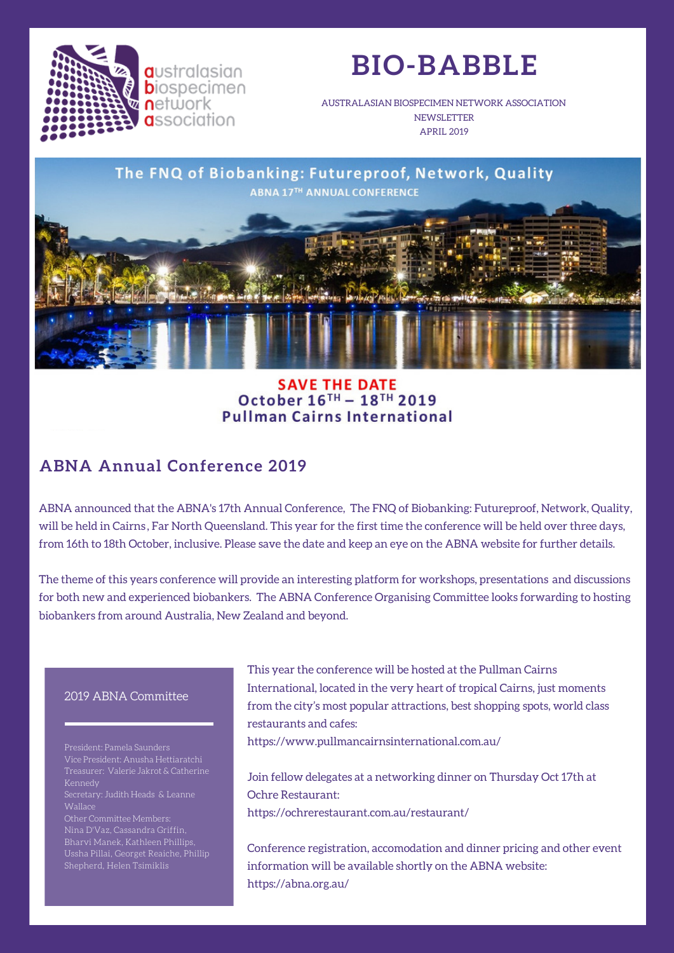

**a**ustralasian **b**iospecimen **n**etwork **a**ssociation

# **BIO-BABBLE**

AUSTRALASIAN BIOSPECIMEN NETWORK ASSOCIATION **NEWSLETTER** APRIL 2019



#### **SAVE THE DATE** October 16TH - 18TH 2019 **Pullman Cairns International**

## **ABNA Annual Conference 2019**

ABNA announced that the ABNA's 17th Annual Conference, The FNQ of Biobanking: Futureproof, Network, Quality, will be held in Cairns , Far North Queensland. This year for the first time the conference will be held over three days, from 16th to 18th October, inclusive. Please save the date and keep an eye on the ABNA website for further details.

The theme of this years conference will provide an interesting platform for workshops, presentations and discussions for both new and experienced biobankers. The ABNA Conference Organising Committee looks forwarding to hosting biobankers from around Australia, New Zealand and beyond.

#### 2019 ABNA Committee

Vice President: Anusha Hettiaratchi Wallace Other Committee Members: Nina D'Vaz, Cassandra Griffin, Bharvi Manek, Kathleen Phillips,

Ussha Pillai, Georget Reaiche, Phillip

This year the conference will be hosted at the Pullman Cairns International, located in the very heart of tropical Cairns, just moments from the city's most popular attractions, best shopping spots, world class restaurants and cafes:

https://www.pullmancairnsinternational.com.au/

Join fellow delegates at a networking dinner on Thursday Oct 17th at Ochre Restaurant: https://ochrerestaurant.com.au/restaurant/

Conference registration, accomodation and dinner pricing and other event information will be available shortly on the ABNA website: https://abna.org.au/